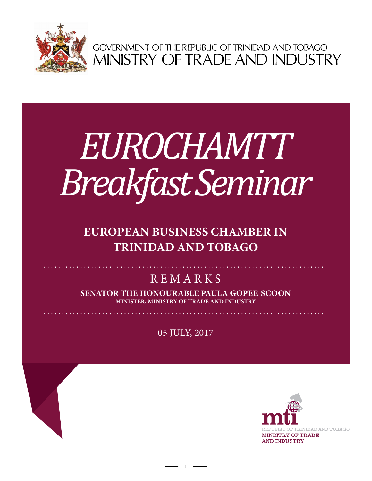

GOVERNMENT OF THE REPUBLIC OF TRINIDAD AND TOBAGO<br>MINISTRY OF TRADE AND INDUSTRY

# *EUROCHAMTT Breakfast Seminar*

# **EUROPEAN BUSINESS CHAMBER IN TRINIDAD AND TOBAGO**

# **REMARKS**

**Senator the Honourable Paula Gopee-Scoon Minister, Ministry of Trade and Industry**

05 July, 2017

 $1 -$ 



 $\mathbf{A} = \mathbf{A} \times \mathbf{A} + \mathbf{A} \times \mathbf{A} + \mathbf{A} \times \mathbf{A} + \mathbf{A} \times \mathbf{A} + \mathbf{A} \times \mathbf{A} + \mathbf{A} \times \mathbf{A} + \mathbf{A} \times \mathbf{A} + \mathbf{A} \times \mathbf{A} + \mathbf{A} \times \mathbf{A} + \mathbf{A} \times \mathbf{A} + \mathbf{A} \times \mathbf{A} + \mathbf{A} \times \mathbf{A} + \mathbf{A} \times \mathbf{A} + \mathbf{A} \times \mathbf{A} + \mathbf$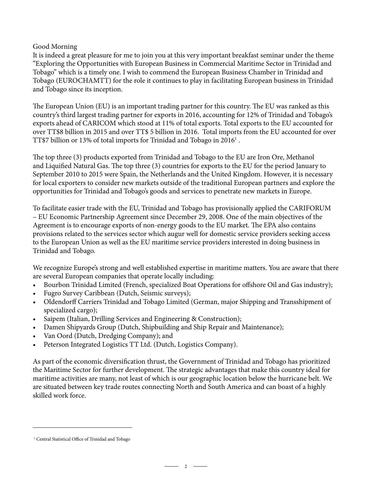#### Good Morning

It is indeed a great pleasure for me to join you at this very important breakfast seminar under the theme "Exploring the Opportunities with European Business in Commercial Maritime Sector in Trinidad and Tobago" which is a timely one. I wish to commend the European Business Chamber in Trinidad and Tobago (EUROCHAMTT) for the role it continues to play in facilitating European business in Trinidad and Tobago since its inception.

The European Union (EU) is an important trading partner for this country. The EU was ranked as this country's third largest trading partner for exports in 2016, accounting for 12% of Trinidad and Tobago's exports ahead of CARICOM which stood at 11% of total exports. Total exports to the EU accounted for over TT\$8 billion in 2015 and over TT\$ 5 billion in 2016. Total imports from the EU accounted for over TT\$7 billion or 13% of total imports for Trinidad and Tobago in 2016 $^{\rm 1}$  .

The top three (3) products exported from Trinidad and Tobago to the EU are Iron Ore, Methanol and Liquified Natural Gas. The top three (3) countries for exports to the EU for the period January to September 2010 to 2015 were Spain, the Netherlands and the United Kingdom. However, it is necessary for local exporters to consider new markets outside of the traditional European partners and explore the opportunities for Trinidad and Tobago's goods and services to penetrate new markets in Europe.

To facilitate easier trade with the EU, Trinidad and Tobago has provisionally applied the CARIFORUM – EU Economic Partnership Agreement since December 29, 2008. One of the main objectives of the Agreement is to encourage exports of non-energy goods to the EU market. The EPA also contains provisions related to the services sector which augur well for domestic service providers seeking access to the European Union as well as the EU maritime service providers interested in doing business in Trinidad and Tobago.

We recognize Europe's strong and well established expertise in maritime matters. You are aware that there are several European companies that operate locally including:

- Bourbon Trinidad Limited (French, specialized Boat Operations for offshore Oil and Gas industry);
- Fugro Survey Caribbean (Dutch, Seismic surveys);
- Oldendorff Carriers Trinidad and Tobago Limited (German, major Shipping and Transshipment of specialized cargo);
- Saipem (Italian, Drilling Services and Engineering & Construction);
- Damen Shipyards Group (Dutch, Shipbuilding and Ship Repair and Maintenance);
- Van Oord (Dutch, Dredging Company); and
- Peterson Integrated Logistics TT Ltd. (Dutch, Logistics Company).

As part of the economic diversification thrust, the Government of Trinidad and Tobago has prioritized the Maritime Sector for further development. The strategic advantages that make this country ideal for maritime activities are many, not least of which is our geographic location below the hurricane belt. We are situated between key trade routes connecting North and South America and can boast of a highly skilled work force.

 $-2$   $-$ 

<sup>&</sup>lt;sup>1</sup> Central Statistical Office of Trinidad and Tobago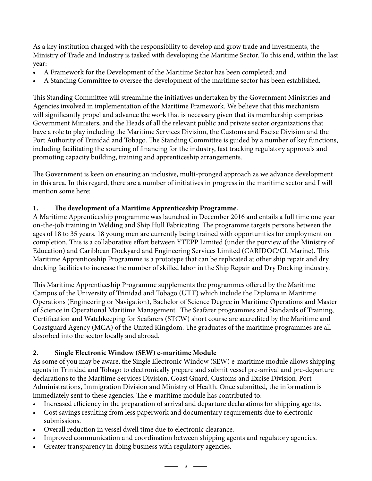As a key institution charged with the responsibility to develop and grow trade and investments, the Ministry of Trade and Industry is tasked with developing the Maritime Sector. To this end, within the last year:

- A Framework for the Development of the Maritime Sector has been completed; and
- A Standing Committee to oversee the development of the maritime sector has been established.

This Standing Committee will streamline the initiatives undertaken by the Government Ministries and Agencies involved in implementation of the Maritime Framework. We believe that this mechanism will significantly propel and advance the work that is necessary given that its membership comprises Government Ministers, and the Heads of all the relevant public and private sector organizations that have a role to play including the Maritime Services Division, the Customs and Excise Division and the Port Authority of Trinidad and Tobago. The Standing Committee is guided by a number of key functions, including facilitating the sourcing of financing for the industry, fast tracking regulatory approvals and promoting capacity building, training and apprenticeship arrangements.

The Government is keen on ensuring an inclusive, multi-pronged approach as we advance development in this area. In this regard, there are a number of initiatives in progress in the maritime sector and I will mention some here:

#### **1. The development of a Maritime Apprenticeship Programme.**

A Maritime Apprenticeship programme was launched in December 2016 and entails a full time one year on-the-job training in Welding and Ship Hull Fabricating. The programme targets persons between the ages of 18 to 35 years. 18 young men are currently being trained with opportunities for employment on completion. This is a collaborative effort between YTEPP Limited (under the purview of the Ministry of Education) and Caribbean Dockyard and Engineering Services Limited (CARIDOC/CL Marine). This Maritime Apprenticeship Programme is a prototype that can be replicated at other ship repair and dry docking facilities to increase the number of skilled labor in the Ship Repair and Dry Docking industry.

This Maritime Apprenticeship Programme supplements the programmes offered by the Maritime Campus of the University of Trinidad and Tobago (UTT) which include the Diploma in Maritime Operations (Engineering or Navigation), Bachelor of Science Degree in Maritime Operations and Master of Science in Operational Maritime Management. The Seafarer programmes and Standards of Training, Certification and Watchkeeping for Seafarers (STCW) short course are accredited by the Maritime and Coastguard Agency (MCA) of the United Kingdom. The graduates of the maritime programmes are all absorbed into the sector locally and abroad.

#### **2. Single Electronic Window (SEW) e-maritime Module**

As some of you may be aware, the Single Electronic Window (SEW) e-maritime module allows shipping agents in Trinidad and Tobago to electronically prepare and submit vessel pre-arrival and pre-departure declarations to the Maritime Services Division, Coast Guard, Customs and Excise Division, Port Administrations, Immigration Division and Ministry of Health. Once submitted, the information is immediately sent to these agencies. The e-maritime module has contributed to:

- Increased efficiency in the preparation of arrival and departure declarations for shipping agents.
- Cost savings resulting from less paperwork and documentary requirements due to electronic submissions.
- Overall reduction in vessel dwell time due to electronic clearance.
- Improved communication and coordination between shipping agents and regulatory agencies.
- Greater transparency in doing business with regulatory agencies.
	- $\longrightarrow$  3  $\longrightarrow$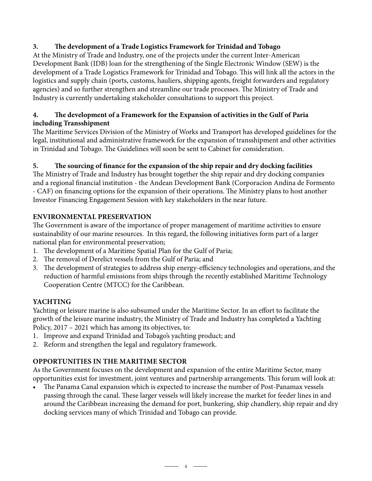## **3. The development of a Trade Logistics Framework for Trinidad and Tobago**

At the Ministry of Trade and Industry, one of the projects under the current Inter-American Development Bank (IDB) loan for the strengthening of the Single Electronic Window (SEW) is the development of a Trade Logistics Framework for Trinidad and Tobago. This will link all the actors in the logistics and supply chain (ports, customs, hauliers, shipping agents, freight forwarders and regulatory agencies) and so further strengthen and streamline our trade processes. The Ministry of Trade and Industry is currently undertaking stakeholder consultations to support this project.

#### **4. The development of a Framework for the Expansion of activities in the Gulf of Paria including Transshipment**

The Maritime Services Division of the Ministry of Works and Transport has developed guidelines for the legal, institutional and administrative framework for the expansion of transshipment and other activities in Trinidad and Tobago. The Guidelines will soon be sent to Cabinet for consideration.

## **5. The sourcing of finance for the expansion of the ship repair and dry docking facilities**

The Ministry of Trade and Industry has brought together the ship repair and dry docking companies and a regional financial institution - the Andean Development Bank (Corporacion Andina de Formento - CAF) on financing options for the expansion of their operations. The Ministry plans to host another Investor Financing Engagement Session with key stakeholders in the near future.

## **Environmental Preservation**

The Government is aware of the importance of proper management of maritime activities to ensure sustainability of our marine resources. In this regard, the following initiatives form part of a larger national plan for environmental preservation;

- 1. The development of a Maritime Spatial Plan for the Gulf of Paria;
- 2. The removal of Derelict vessels from the Gulf of Paria; and
- 3. The development of strategies to address ship energy-efficiency technologies and operations, and the reduction of harmful emissions from ships through the recently established Maritime Technology Cooperation Centre (MTCC) for the Caribbean.

#### **Yachting**

Yachting or leisure marine is also subsumed under the Maritime Sector. In an effort to facilitate the growth of the leisure marine industry, the Ministry of Trade and Industry has completed a Yachting Policy, 2017 – 2021 which has among its objectives, to:

- 1. Improve and expand Trinidad and Tobago's yachting product; and
- 2. Reform and strengthen the legal and regulatory framework.

# **Opportunities in the Maritime Sector**

As the Government focuses on the development and expansion of the entire Maritime Sector, many opportunities exist for investment, joint ventures and partnership arrangements. This forum will look at:

The Panama Canal expansion which is expected to increase the number of Post-Panamax vessels passing through the canal. These larger vessels will likely increase the market for feeder lines in and around the Caribbean increasing the demand for port, bunkering, ship chandlery, ship repair and dry docking services many of which Trinidad and Tobago can provide.

 $-4$   $-$